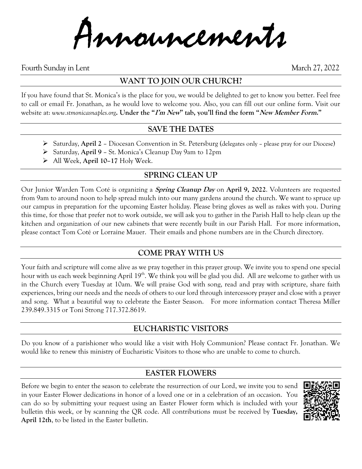Announcements

Fourth Sunday in Lent March 27, 2022

## **WANT TO JOIN OUR CHURCH?**

If you have found that St. Monica's is the place for you, we would be delighted to get to know you better. Feel free to call or email Fr. Jonathan, as he would love to welcome you. Also, you can fill out our online form. Visit our website at: *www.stmonicasnaples.org***. Under the "I'm New" tab, you'll find the form "New Member Form."**

#### **SAVE THE DATES**

- ➢ Saturday, **April 2** Diocesan Convention in St. Petersburg (delegates only please pray for our Diocese)
- ➢ Saturday, **April 9** St. Monica's Cleanup Day 9am to 12pm
- ➢ All Week, **April 10–17** Holy Week.

## **SPRING CLEAN UP**

Our Junior Warden Tom Coté is organizing a **Spring Cleanup Day** on **April 9, 2022**. Volunteers are requested from 9am to around noon to help spread mulch into our many gardens around the church. We want to spruce up our campus in preparation for the upcoming Easter holiday. Please bring gloves as well as rakes with you. During this time, for those that prefer not to work outside, we will ask you to gather in the Parish Hall to help clean up the kitchen and organization of our new cabinets that were recently built in our Parish Hall. For more information, please contact Tom Coté or Lorraine Mauer. Their emails and phone numbers are in the Church directory.

## **COME PRAY WITH US**

Your faith and scripture will come alive as we pray together in this prayer group. We invite you to spend one special hour with us each week beginning April 19<sup>th</sup>. We think you will be glad you did. All are welcome to gather with us in the Church every Tuesday at 10am. We will praise God with song, read and pray with scripture, share faith experiences, bring our needs and the needs of others to our lord through intercessory prayer and close with a prayer and song. What a beautiful way to celebrate the Easter Season. For more information contact Theresa Miller 239.849.3315 or Toni Strong 717.372.8619.

## **EUCHARISTIC VISITORS**

Do you know of a parishioner who would like a visit with Holy Communion? Please contact Fr. Jonathan. We would like to renew this ministry of Eucharistic Visitors to those who are unable to come to church.

## **EASTER FLOWERS**

Before we begin to enter the season to celebrate the resurrection of our Lord, we invite you to send in your Easter Flower dedications in honor of a loved one or in a celebration of an occasion. You can do so by submitting your request using an Easter Flower form which is included with your bulletin this week, or by scanning the QR code. All contributions must be received by **Tuesday, April 12th**, to be listed in the Easter bulletin.